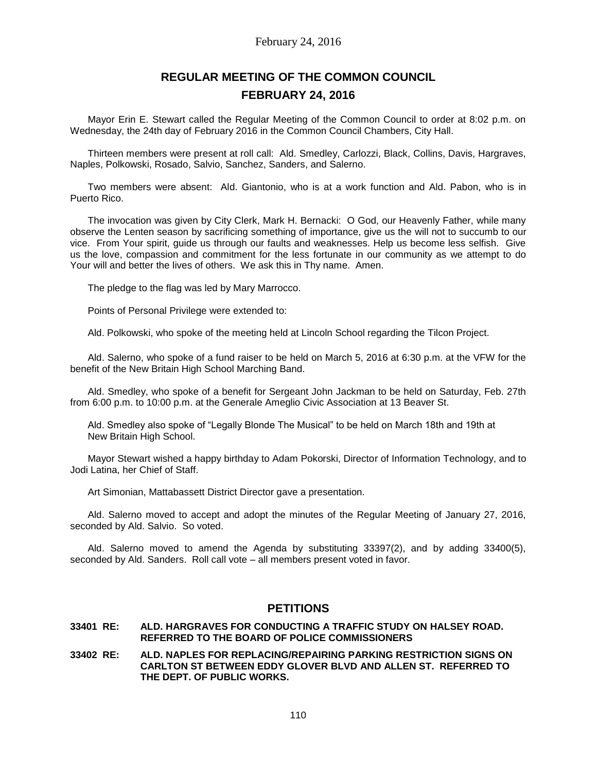# **REGULAR MEETING OF THE COMMON COUNCIL FEBRUARY 24, 2016**

Mayor Erin E. Stewart called the Regular Meeting of the Common Council to order at 8:02 p.m. on Wednesday, the 24th day of February 2016 in the Common Council Chambers, City Hall.

Thirteen members were present at roll call: Ald. Smedley, Carlozzi, Black, Collins, Davis, Hargraves, Naples, Polkowski, Rosado, Salvio, Sanchez, Sanders, and Salerno.

Two members were absent: Ald. Giantonio, who is at a work function and Ald. Pabon, who is in Puerto Rico.

The invocation was given by City Clerk, Mark H. Bernacki: O God, our Heavenly Father, while many observe the Lenten season by sacrificing something of importance, give us the will not to succumb to our vice. From Your spirit, guide us through our faults and weaknesses. Help us become less selfish. Give us the love, compassion and commitment for the less fortunate in our community as we attempt to do Your will and better the lives of others. We ask this in Thy name. Amen.

The pledge to the flag was led by Mary Marrocco.

Points of Personal Privilege were extended to:

Ald. Polkowski, who spoke of the meeting held at Lincoln School regarding the Tilcon Project.

Ald. Salerno, who spoke of a fund raiser to be held on March 5, 2016 at 6:30 p.m. at the VFW for the benefit of the New Britain High School Marching Band.

Ald. Smedley, who spoke of a benefit for Sergeant John Jackman to be held on Saturday, Feb. 27th from 6:00 p.m. to 10:00 p.m. at the Generale Ameglio Civic Association at 13 Beaver St.

Ald. Smedley also spoke of "Legally Blonde The Musical" to be held on March 18th and 19th at New Britain High School.

Mayor Stewart wished a happy birthday to Adam Pokorski, Director of Information Technology, and to Jodi Latina, her Chief of Staff.

Art Simonian, Mattabassett District Director gave a presentation.

Ald. Salerno moved to accept and adopt the minutes of the Regular Meeting of January 27, 2016, seconded by Ald. Salvio. So voted.

Ald. Salerno moved to amend the Agenda by substituting 33397(2), and by adding 33400(5), seconded by Ald. Sanders. Roll call vote – all members present voted in favor.

## **PETITIONS**

#### **33401 RE: ALD. HARGRAVES FOR CONDUCTING A TRAFFIC STUDY ON HALSEY ROAD. REFERRED TO THE BOARD OF POLICE COMMISSIONERS**

**33402 RE: ALD. NAPLES FOR REPLACING/REPAIRING PARKING RESTRICTION SIGNS ON CARLTON ST BETWEEN EDDY GLOVER BLVD AND ALLEN ST. REFERRED TO THE DEPT. OF PUBLIC WORKS.**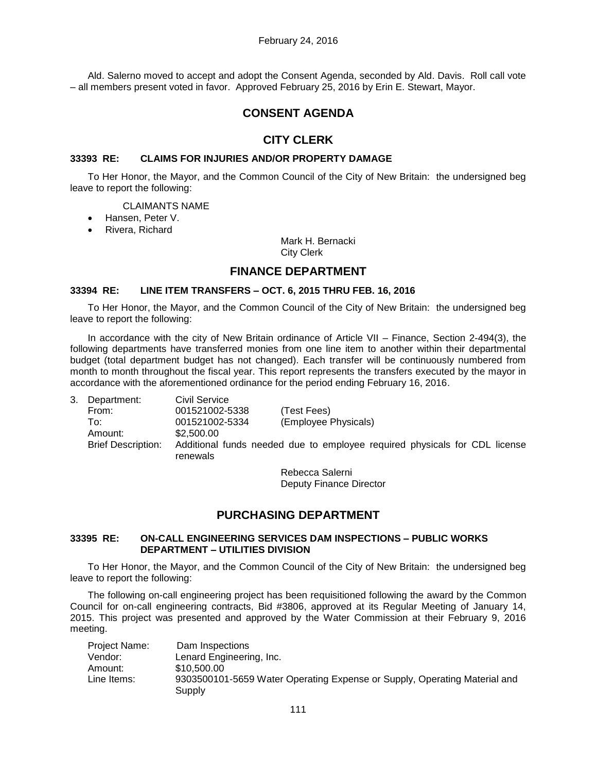Ald. Salerno moved to accept and adopt the Consent Agenda, seconded by Ald. Davis. Roll call vote – all members present voted in favor. Approved February 25, 2016 by Erin E. Stewart, Mayor.

## **CONSENT AGENDA**

## **CITY CLERK**

### **33393 RE: CLAIMS FOR INJURIES AND/OR PROPERTY DAMAGE**

To Her Honor, the Mayor, and the Common Council of the City of New Britain: the undersigned beg leave to report the following:

#### CLAIMANTS NAME

- Hansen, Peter V.
- Rivera, Richard

Mark H. Bernacki City Clerk

## **FINANCE DEPARTMENT**

### **33394 RE: LINE ITEM TRANSFERS – OCT. 6, 2015 THRU FEB. 16, 2016**

To Her Honor, the Mayor, and the Common Council of the City of New Britain: the undersigned beg leave to report the following:

In accordance with the city of New Britain ordinance of Article VII – Finance, Section 2-494(3), the following departments have transferred monies from one line item to another within their departmental budget (total department budget has not changed). Each transfer will be continuously numbered from month to month throughout the fiscal year. This report represents the transfers executed by the mayor in accordance with the aforementioned ordinance for the period ending February 16, 2016.

| 3. | Department:               | <b>Civil Service</b>                                                                   |                      |
|----|---------------------------|----------------------------------------------------------------------------------------|----------------------|
|    | From:                     | 001521002-5338                                                                         | (Test Fees)          |
|    | To:                       | 001521002-5334                                                                         | (Employee Physicals) |
|    | Amount:                   | \$2,500.00                                                                             |                      |
|    | <b>Brief Description:</b> | Additional funds needed due to employee required physicals for CDL license<br>renewals |                      |

Rebecca Salerni Deputy Finance Director

## **PURCHASING DEPARTMENT**

#### **33395 RE: ON-CALL ENGINEERING SERVICES DAM INSPECTIONS – PUBLIC WORKS DEPARTMENT – UTILITIES DIVISION**

To Her Honor, the Mayor, and the Common Council of the City of New Britain: the undersigned beg leave to report the following:

The following on-call engineering project has been requisitioned following the award by the Common Council for on-call engineering contracts, Bid #3806, approved at its Regular Meeting of January 14, 2015. This project was presented and approved by the Water Commission at their February 9, 2016 meeting.

| Project Name: | Dam Inspections                                                                     |
|---------------|-------------------------------------------------------------------------------------|
| Vendor:       | Lenard Engineering, Inc.                                                            |
| Amount:       | \$10,500,00                                                                         |
| Line Items:   | 9303500101-5659 Water Operating Expense or Supply, Operating Material and<br>Supply |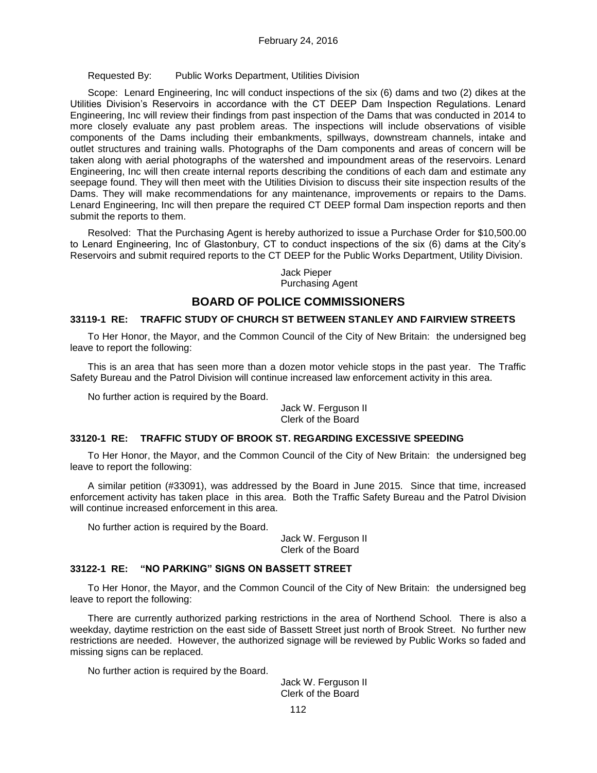Requested By: Public Works Department, Utilities Division

Scope: Lenard Engineering, Inc will conduct inspections of the six (6) dams and two (2) dikes at the Utilities Division's Reservoirs in accordance with the CT DEEP Dam Inspection Regulations. Lenard Engineering, Inc will review their findings from past inspection of the Dams that was conducted in 2014 to more closely evaluate any past problem areas. The inspections will include observations of visible components of the Dams including their embankments, spillways, downstream channels, intake and outlet structures and training walls. Photographs of the Dam components and areas of concern will be taken along with aerial photographs of the watershed and impoundment areas of the reservoirs. Lenard Engineering, Inc will then create internal reports describing the conditions of each dam and estimate any seepage found. They will then meet with the Utilities Division to discuss their site inspection results of the Dams. They will make recommendations for any maintenance, improvements or repairs to the Dams. Lenard Engineering, Inc will then prepare the required CT DEEP formal Dam inspection reports and then submit the reports to them.

Resolved: That the Purchasing Agent is hereby authorized to issue a Purchase Order for \$10,500.00 to Lenard Engineering, Inc of Glastonbury, CT to conduct inspections of the six (6) dams at the City's Reservoirs and submit required reports to the CT DEEP for the Public Works Department, Utility Division.

### Jack Pieper Purchasing Agent

## **BOARD OF POLICE COMMISSIONERS**

### **33119-1 RE: TRAFFIC STUDY OF CHURCH ST BETWEEN STANLEY AND FAIRVIEW STREETS**

To Her Honor, the Mayor, and the Common Council of the City of New Britain: the undersigned beg leave to report the following:

This is an area that has seen more than a dozen motor vehicle stops in the past year. The Traffic Safety Bureau and the Patrol Division will continue increased law enforcement activity in this area.

No further action is required by the Board.

Jack W. Ferguson II Clerk of the Board

#### **33120-1 RE: TRAFFIC STUDY OF BROOK ST. REGARDING EXCESSIVE SPEEDING**

To Her Honor, the Mayor, and the Common Council of the City of New Britain: the undersigned beg leave to report the following:

A similar petition (#33091), was addressed by the Board in June 2015. Since that time, increased enforcement activity has taken place in this area. Both the Traffic Safety Bureau and the Patrol Division will continue increased enforcement in this area.

No further action is required by the Board.

Jack W. Ferguson II Clerk of the Board

### **33122-1 RE: "NO PARKING" SIGNS ON BASSETT STREET**

To Her Honor, the Mayor, and the Common Council of the City of New Britain: the undersigned beg leave to report the following:

There are currently authorized parking restrictions in the area of Northend School. There is also a weekday, daytime restriction on the east side of Bassett Street just north of Brook Street. No further new restrictions are needed. However, the authorized signage will be reviewed by Public Works so faded and missing signs can be replaced.

No further action is required by the Board.

Jack W. Ferguson II Clerk of the Board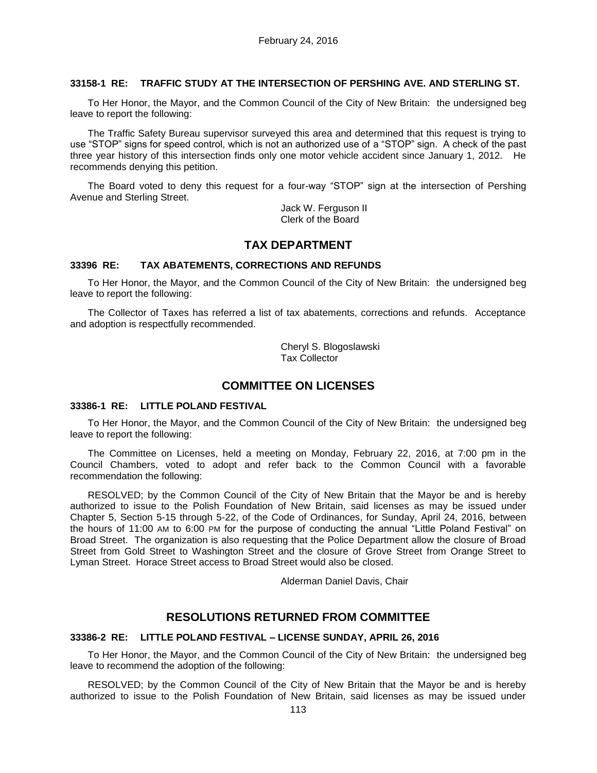### **33158-1 RE: TRAFFIC STUDY AT THE INTERSECTION OF PERSHING AVE. AND STERLING ST.**

To Her Honor, the Mayor, and the Common Council of the City of New Britain: the undersigned beg leave to report the following:

The Traffic Safety Bureau supervisor surveyed this area and determined that this request is trying to use "STOP" signs for speed control, which is not an authorized use of a "STOP" sign. A check of the past three year history of this intersection finds only one motor vehicle accident since January 1, 2012. He recommends denying this petition.

The Board voted to deny this request for a four-way "STOP" sign at the intersection of Pershing Avenue and Sterling Street.

> Jack W. Ferguson II Clerk of the Board

## **TAX DEPARTMENT**

#### **33396 RE: TAX ABATEMENTS, CORRECTIONS AND REFUNDS**

To Her Honor, the Mayor, and the Common Council of the City of New Britain: the undersigned beg leave to report the following:

The Collector of Taxes has referred a list of tax abatements, corrections and refunds. Acceptance and adoption is respectfully recommended.

> Cheryl S. Blogoslawski Tax Collector

### **COMMITTEE ON LICENSES**

#### **33386-1 RE: LITTLE POLAND FESTIVAL**

To Her Honor, the Mayor, and the Common Council of the City of New Britain: the undersigned beg leave to report the following:

The Committee on Licenses, held a meeting on Monday, February 22, 2016, at 7:00 pm in the Council Chambers, voted to adopt and refer back to the Common Council with a favorable recommendation the following:

RESOLVED; by the Common Council of the City of New Britain that the Mayor be and is hereby authorized to issue to the Polish Foundation of New Britain, said licenses as may be issued under Chapter 5, Section 5-15 through 5-22, of the Code of Ordinances, for Sunday, April 24, 2016, between the hours of 11:00 AM to 6:00 PM for the purpose of conducting the annual "Little Poland Festival" on Broad Street. The organization is also requesting that the Police Department allow the closure of Broad Street from Gold Street to Washington Street and the closure of Grove Street from Orange Street to Lyman Street. Horace Street access to Broad Street would also be closed.

Alderman Daniel Davis, Chair

## **RESOLUTIONS RETURNED FROM COMMITTEE**

#### **33386-2 RE: LITTLE POLAND FESTIVAL – LICENSE SUNDAY, APRIL 26, 2016**

To Her Honor, the Mayor, and the Common Council of the City of New Britain: the undersigned beg leave to recommend the adoption of the following:

RESOLVED; by the Common Council of the City of New Britain that the Mayor be and is hereby authorized to issue to the Polish Foundation of New Britain, said licenses as may be issued under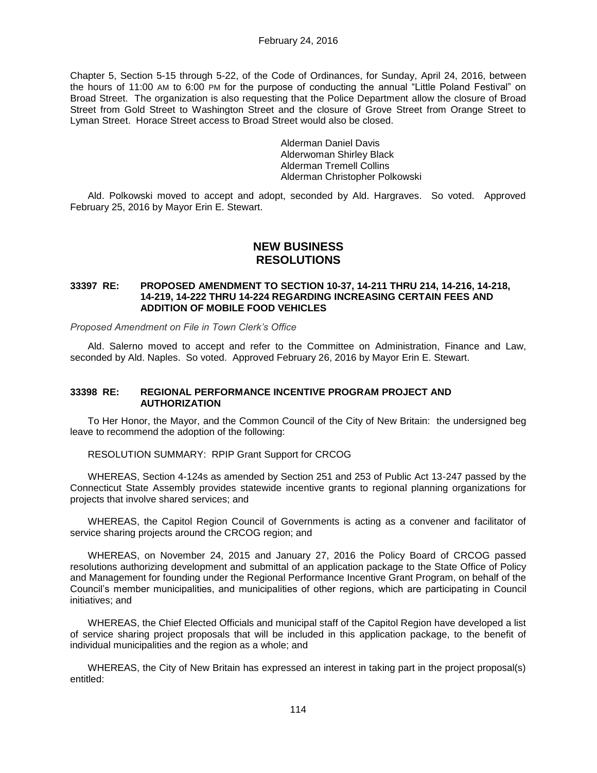Chapter 5, Section 5-15 through 5-22, of the Code of Ordinances, for Sunday, April 24, 2016, between the hours of 11:00 AM to 6:00 PM for the purpose of conducting the annual "Little Poland Festival" on Broad Street. The organization is also requesting that the Police Department allow the closure of Broad Street from Gold Street to Washington Street and the closure of Grove Street from Orange Street to Lyman Street. Horace Street access to Broad Street would also be closed.

> Alderman Daniel Davis Alderwoman Shirley Black Alderman Tremell Collins Alderman Christopher Polkowski

Ald. Polkowski moved to accept and adopt, seconded by Ald. Hargraves. So voted. Approved February 25, 2016 by Mayor Erin E. Stewart.

## **NEW BUSINESS RESOLUTIONS**

#### **33397 RE: PROPOSED AMENDMENT TO SECTION 10-37, 14-211 THRU 214, 14-216, 14-218, 14-219, 14-222 THRU 14-224 REGARDING INCREASING CERTAIN FEES AND ADDITION OF MOBILE FOOD VEHICLES**

*Proposed Amendment on File in Town Clerk's Office*

Ald. Salerno moved to accept and refer to the Committee on Administration, Finance and Law, seconded by Ald. Naples. So voted. Approved February 26, 2016 by Mayor Erin E. Stewart.

### **33398 RE: REGIONAL PERFORMANCE INCENTIVE PROGRAM PROJECT AND AUTHORIZATION**

To Her Honor, the Mayor, and the Common Council of the City of New Britain: the undersigned beg leave to recommend the adoption of the following:

RESOLUTION SUMMARY: RPIP Grant Support for CRCOG

WHEREAS, Section 4-124s as amended by Section 251 and 253 of Public Act 13-247 passed by the Connecticut State Assembly provides statewide incentive grants to regional planning organizations for projects that involve shared services; and

WHEREAS, the Capitol Region Council of Governments is acting as a convener and facilitator of service sharing projects around the CRCOG region; and

WHEREAS, on November 24, 2015 and January 27, 2016 the Policy Board of CRCOG passed resolutions authorizing development and submittal of an application package to the State Office of Policy and Management for founding under the Regional Performance Incentive Grant Program, on behalf of the Council's member municipalities, and municipalities of other regions, which are participating in Council initiatives; and

WHEREAS, the Chief Elected Officials and municipal staff of the Capitol Region have developed a list of service sharing project proposals that will be included in this application package, to the benefit of individual municipalities and the region as a whole; and

WHEREAS, the City of New Britain has expressed an interest in taking part in the project proposal(s) entitled: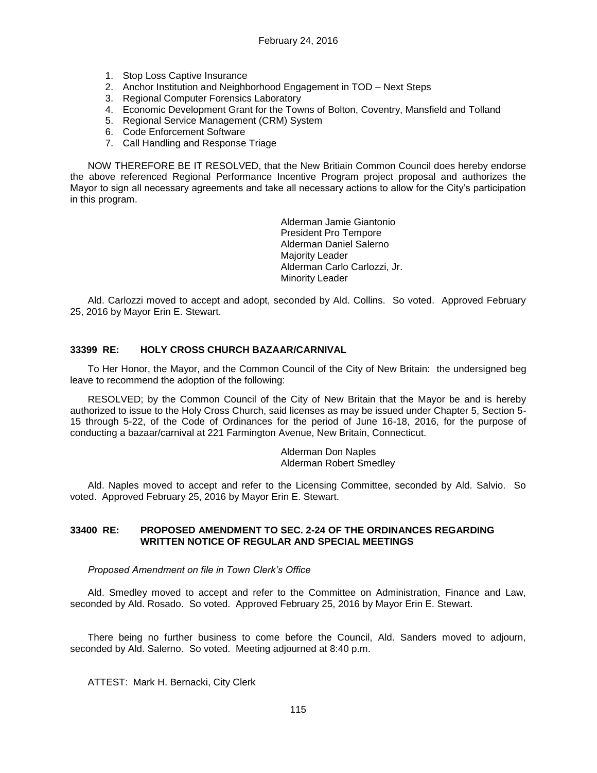- 1. Stop Loss Captive Insurance
- 2. Anchor Institution and Neighborhood Engagement in TOD Next Steps
- 3. Regional Computer Forensics Laboratory
- 4. Economic Development Grant for the Towns of Bolton, Coventry, Mansfield and Tolland
- 5. Regional Service Management (CRM) System
- 6. Code Enforcement Software
- 7. Call Handling and Response Triage

NOW THEREFORE BE IT RESOLVED, that the New Britiain Common Council does hereby endorse the above referenced Regional Performance Incentive Program project proposal and authorizes the Mayor to sign all necessary agreements and take all necessary actions to allow for the City's participation in this program.

> Alderman Jamie Giantonio President Pro Tempore Alderman Daniel Salerno Majority Leader Alderman Carlo Carlozzi, Jr. Minority Leader

Ald. Carlozzi moved to accept and adopt, seconded by Ald. Collins. So voted. Approved February 25, 2016 by Mayor Erin E. Stewart.

### **33399 RE: HOLY CROSS CHURCH BAZAAR/CARNIVAL**

To Her Honor, the Mayor, and the Common Council of the City of New Britain: the undersigned beg leave to recommend the adoption of the following:

RESOLVED; by the Common Council of the City of New Britain that the Mayor be and is hereby authorized to issue to the Holy Cross Church, said licenses as may be issued under Chapter 5, Section 5- 15 through 5-22, of the Code of Ordinances for the period of June 16-18, 2016, for the purpose of conducting a bazaar/carnival at 221 Farmington Avenue, New Britain, Connecticut.

> Alderman Don Naples Alderman Robert Smedley

Ald. Naples moved to accept and refer to the Licensing Committee, seconded by Ald. Salvio. So voted. Approved February 25, 2016 by Mayor Erin E. Stewart.

### **33400 RE: PROPOSED AMENDMENT TO SEC. 2-24 OF THE ORDINANCES REGARDING WRITTEN NOTICE OF REGULAR AND SPECIAL MEETINGS**

#### *Proposed Amendment on file in Town Clerk's Office*

Ald. Smedley moved to accept and refer to the Committee on Administration, Finance and Law, seconded by Ald. Rosado. So voted. Approved February 25, 2016 by Mayor Erin E. Stewart.

There being no further business to come before the Council, Ald. Sanders moved to adjourn, seconded by Ald. Salerno. So voted. Meeting adjourned at 8:40 p.m.

ATTEST: Mark H. Bernacki, City Clerk